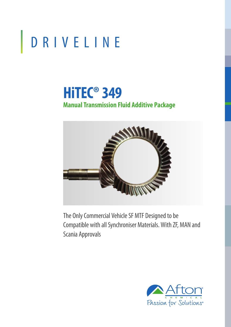# DRIVELINE

# **HiTEC® 349 Manual Transmission Fluid Additive Package**



The Only Commercial Vehicle SF MTF Designed to be Compatible with all Synchroniser Materials. With ZF, MAN and Scania Approvals